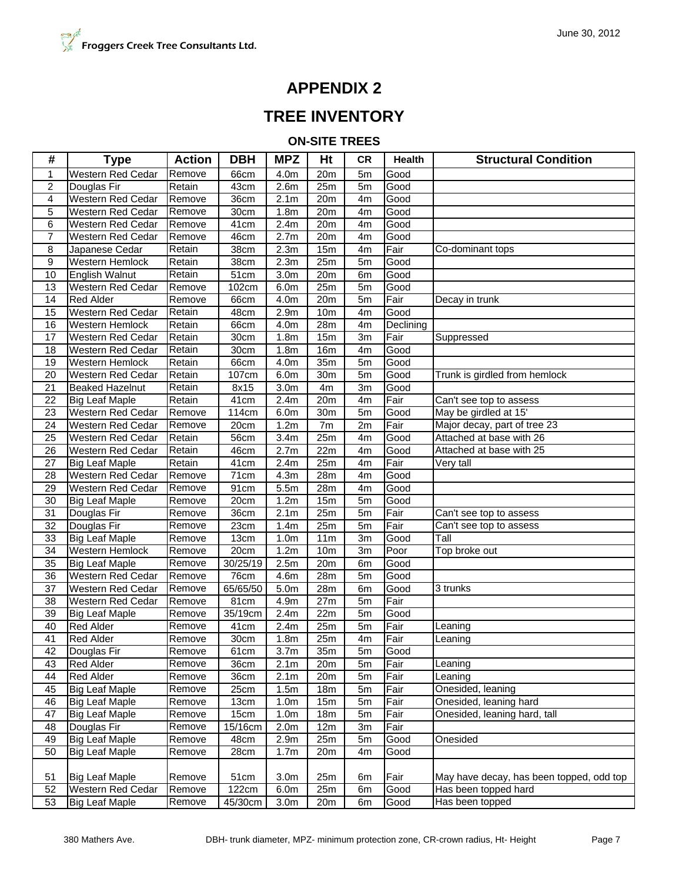## **APPENDIX 2**

## **TREE INVENTORY**

**ON-SITE TREES**

| #               | <b>Type</b>              | <b>Action</b> | <b>DBH</b>         | <b>MPZ</b>       | Ht              | <b>CR</b>      | <b>Health</b> | <b>Structural Condition</b>              |
|-----------------|--------------------------|---------------|--------------------|------------------|-----------------|----------------|---------------|------------------------------------------|
| $\mathbf{1}$    | Western Red Cedar        | Remove        | 66cm               | 4.0m             | 20m             | 5m             | Good          |                                          |
| 2               | Douglas Fir              | Retain        | 43cm               | 2.6 <sub>m</sub> | 25m             | 5 <sub>m</sub> | Good          |                                          |
| 4               | Western Red Cedar        | Remove        | 36cm               | 2.1 <sub>m</sub> | 20m             | 4m             | Good          |                                          |
| 5               | Western Red Cedar        | Remove        | 30cm               | 1.8 <sub>m</sub> | 20m             | 4m             | Good          |                                          |
| 6               | Western Red Cedar        | Remove        | 41cm               | 2.4m             | 20m             | 4m             | Good          |                                          |
| $\overline{7}$  | Western Red Cedar        | Remove        | 46cm               | 2.7 <sub>m</sub> | 20 <sub>m</sub> | 4 <sub>m</sub> | Good          |                                          |
| 8               | Japanese Cedar           | Retain        | 38cm               | 2.3 <sub>m</sub> | 15m             | 4m             | Fair          | Co-dominant tops                         |
| 9               | Western Hemlock          | Retain        | 38cm               | 2.3 <sub>m</sub> | 25m             | 5 <sub>m</sub> | Good          |                                          |
| 10              | <b>English Walnut</b>    | Retain        | 51cm               | 3.0 <sub>m</sub> | 20m             | 6m             | Good          |                                          |
| 13              | <b>Western Red Cedar</b> | Remove        | 102cm              | 6.0m             | 25m             | 5m             | Good          |                                          |
| $\overline{14}$ | <b>Red Alder</b>         | Remove        | 66cm               | 4.0m             | 20m             | 5m             | Fair          | Decay in trunk                           |
| 15              | <b>Western Red Cedar</b> | Retain        | 48cm               | 2.9 <sub>m</sub> | 10 <sub>m</sub> | 4m             | Good          |                                          |
| 16              | Western Hemlock          | Retain        | 66cm               | 4.0m             | 28m             | 4m             | Declining     |                                          |
| 17              | Western Red Cedar        | Retain        | $\overline{3}0$ cm | 1.8 <sub>m</sub> | 15m             | 3m             | Fair          | Suppressed                               |
| 18              | Western Red Cedar        | Retain        | 30cm               | 1.8 <sub>m</sub> | 16m             | 4m             | Good          |                                          |
| 19              | Western Hemlock          | Retain        | 66cm               | 4.0m             | 35m             | 5 <sub>m</sub> | Good          |                                          |
| 20              | Western Red Cedar        | Retain        | 107cm              | 6.0 <sub>m</sub> | 30m             | 5 <sub>m</sub> | Good          | Trunk is girdled from hemlock            |
| 21              | <b>Beaked Hazelnut</b>   | Retain        | 8x15               | 3.0 <sub>m</sub> | 4m              | 3m             | Good          |                                          |
| 22              | <b>Big Leaf Maple</b>    | Retain        | 41cm               | 2.4m             | 20m             | 4m             | Fair          | Can't see top to assess                  |
| 23              | Western Red Cedar        | Remove        | 114cm              | 6.0m             | 30m             | 5 <sub>m</sub> | Good          | May be girdled at 15'                    |
| 24              | Western Red Cedar        | Remove        | 20cm               | 1.2m             | 7m              | 2m             | Fair          | Major decay, part of tree 23             |
| 25              | <b>Western Red Cedar</b> | Retain        | 56cm               | 3.4 <sub>m</sub> | 25m             | 4 <sub>m</sub> | Good          | Attached at base with 26                 |
| 26              | <b>Western Red Cedar</b> | Retain        | 46cm               | 2.7 <sub>m</sub> | 22m             | 4m             | Good          | Attached at base with 25                 |
| 27              | <b>Big Leaf Maple</b>    | Retain        | 41cm               | 2.4m             | 25m             | 4m             | Fair          | Very tall                                |
| 28              | Western Red Cedar        | Remove        | 71cm               | 4.3m             | 28m             | 4 <sub>m</sub> | Good          |                                          |
| 29              | Western Red Cedar        | Remove        | 91cm               | 5.5m             | 28m             | 4 <sub>m</sub> | Good          |                                          |
| 30              | <b>Big Leaf Maple</b>    | Remove        | 20cm               | 1.2m             | 15m             | 5m             | Good          |                                          |
| $\overline{31}$ | Douglas Fir              | Remove        | 36cm               | 2.1 <sub>m</sub> | 25m             | 5m             | Fair          | Can't see top to assess                  |
| 32              | Douglas Fir              | Remove        | 23cm               | 1.4m             | 25m             | 5m             | Fair          | Can't see top to assess                  |
| 33              | <b>Big Leaf Maple</b>    | Remove        | 13cm               | 1.0 <sub>m</sub> | 11m             | 3m             | Good          | Tall                                     |
| 34              | Western Hemlock          | Remove        | 20cm               | 1.2m             | 10 <sub>m</sub> | 3m             | Poor          | Top broke out                            |
| 35              | <b>Big Leaf Maple</b>    | Remove        | 30/25/19           | 2.5m             | 20m             | 6m             | Good          |                                          |
| 36              | Western Red Cedar        | Remove        | 76cm               | 4.6m             | 28m             | 5m             | Good          |                                          |
| 37              | Western Red Cedar        | Remove        | 65/65/50           | 5.0 <sub>m</sub> | 28m             | 6m             | Good          | 3 trunks                                 |
| 38              | Western Red Cedar        | Remove        | 81cm               | 4.9m             | 27m             | 5m             | Fair          |                                          |
| 39              | <b>Big Leaf Maple</b>    | Remove        | 35/19cm            | 2.4m             | 22m             | 5m             | Good          |                                          |
| 40              | <b>Red Alder</b>         | Remove        | 41 <sub>cm</sub>   | 2.4m             | 25m             | 5m             | Fair          | Leaning                                  |
| $\overline{41}$ | <b>Red Alder</b>         | Remove        | 30cm               | 1.8 <sub>m</sub> | 25m             | 4m             | Fair          | Leaning                                  |
| 42              | Douglas Fir              | Remove        | 61cm               | 3.7 <sub>m</sub> | 35m             | 5m             | Good          |                                          |
| 43              | Red Alder                | Remove        | 36cm               | 2.1 <sub>m</sub> | 20m             | 5m             | Fair          | Leaning                                  |
| 44              | Red Alder                | Remove        | 36cm               | 2.1 <sub>m</sub> | 20 <sub>m</sub> | 5m             | Fair          | Leaning                                  |
| 45              | <b>Big Leaf Maple</b>    | Remove        | 25cm               | 1.5m             | 18m             | 5m             | Fair          | Onesided, leaning                        |
| 46              | <b>Big Leaf Maple</b>    | Remove        | 13cm               | 1.0 <sub>m</sub> | 15m             | 5m             | Fair          | Onesided, leaning hard                   |
| 47              | <b>Big Leaf Maple</b>    | Remove        | 15cm               | 1.0 <sub>m</sub> | 18m             | 5m             | Fair          | Onesided, leaning hard, tall             |
| 48              | Douglas Fir              | Remove        | 15/16cm            | 2.0 <sub>m</sub> | 12m             | 3m             | Fair          |                                          |
| 49              | <b>Big Leaf Maple</b>    | Remove        | 48cm               | 2.9 <sub>m</sub> | 25m             | 5m             | Good          | Onesided                                 |
| 50              | <b>Big Leaf Maple</b>    | Remove        | 28cm               | 1.7 <sub>m</sub> | 20m             | 4m             | Good          |                                          |
|                 |                          |               |                    |                  |                 |                |               |                                          |
| 51              | <b>Big Leaf Maple</b>    | Remove        | 51cm               | 3.0 <sub>m</sub> | 25m             | 6m             | Fair          | May have decay, has been topped, odd top |
| 52              | <b>Western Red Cedar</b> | Remove        | 122cm              | 6.0 <sub>m</sub> | 25m             | 6m             | Good          | Has been topped hard                     |
| 53              | <b>Big Leaf Maple</b>    | Remove        | 45/30cm            | 3.0 <sub>m</sub> | 20m             | 6m             | Good          | Has been topped                          |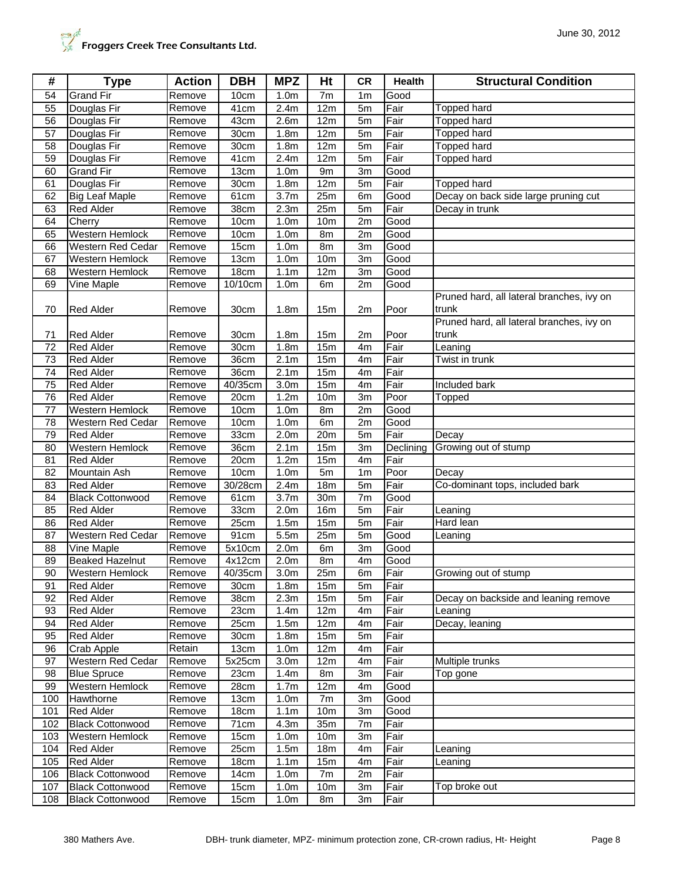| <b>Grand Fir</b><br>Good<br>54<br>Remove<br>10cm<br>1.0 <sub>m</sub><br>7m<br>1 <sub>m</sub><br>Fair<br>55<br>Douglas Fir<br>2.4m<br>12m<br>5m<br><b>Topped hard</b><br>Remove<br>41cm<br>2.6 <sub>m</sub><br>12m<br>Fair<br><b>Topped hard</b><br>56<br>Douglas Fir<br>43cm<br>5m<br>Remove<br>Fair<br>57<br>Douglas Fir<br>30cm<br>1.8 <sub>m</sub><br>12m<br>5m<br>Topped hard<br>Remove<br>$\overline{58}$<br>30cm<br>Fair<br>Douglas Fir<br>1.8 <sub>m</sub><br>12m<br>5m<br>Topped hard<br>Remove<br>59<br>Douglas Fir<br>41cm<br>2.4m<br>12m<br>5m<br>Fair<br><b>Topped hard</b><br>Remove<br>60<br><b>Grand Fir</b><br>13cm<br>Remove<br>1.0 <sub>m</sub><br>9m<br>3m<br>Good<br>Remove<br>Fair<br>61<br>Douglas Fir<br>30cm<br>1.8 <sub>m</sub><br>12m<br>5m<br>Topped hard<br>$\overline{3.7m}$<br>25m<br>62<br><b>Big Leaf Maple</b><br>Remove<br>61cm<br>Good<br>Decay on back side large pruning cut<br>6m<br>2.3 <sub>m</sub><br>25m<br>Fair<br>63<br><b>Red Alder</b><br>38cm<br>Decay in trunk<br>Remove<br>5m<br>64<br>Remove<br>10cm<br>1.0 <sub>m</sub><br>10 <sub>m</sub><br>2m<br>Good<br>Cherry<br>Western Hemlock<br>65<br>Remove<br>10cm<br>1.0 <sub>m</sub><br>8m<br>2m<br>Good<br><b>Western Red Cedar</b><br>66<br>Remove<br>15cm<br>1.0 <sub>m</sub><br>8 <sub>m</sub><br>3m<br>Good<br>13cm<br>67<br>Western Hemlock<br>1.0 <sub>m</sub><br>10 <sub>m</sub><br>3m<br>Good<br>Remove<br>Western Hemlock<br>68<br>Remove<br>18cm<br>1.1 <sub>m</sub><br>12m<br>3m<br>Good<br>69<br>Vine Maple<br>10/10cm<br>1.0 <sub>m</sub><br>2m<br>Good<br>Remove<br>6m<br>Pruned hard, all lateral branches, ivy on<br>Poor<br>70<br><b>Red Alder</b><br>1.8 <sub>m</sub><br>15m<br>30cm<br>2m<br>trunk<br>Remove<br>Pruned hard, all lateral branches, ivy on<br>trunk<br>71<br><b>Red Alder</b><br>Remove<br>1.8 <sub>m</sub><br>15m<br>Poor<br>30cm<br>2m<br>72<br><b>Red Alder</b><br>Remove<br>30cm<br>1.8 <sub>m</sub><br>4m<br>Fair<br>15m<br>Leaning<br>2.1 <sub>m</sub><br>Fair<br>73<br><b>Red Alder</b><br>36cm<br>15m<br>Twist in trunk<br>Remove<br>4m<br>15m<br>Fair<br>74<br><b>Red Alder</b><br>Remove<br>36cm<br>2.1 <sub>m</sub><br>4m<br>75<br>Remove<br>40/35cm<br>3.0 <sub>m</sub><br>15m<br>Included bark<br><b>Red Alder</b><br>4m<br>Fair<br>76<br><b>Red Alder</b><br>Remove<br>20cm<br>1.2m<br>10 <sub>m</sub><br>3m<br>Poor<br>Topped<br><b>Western Hemlock</b><br>10cm<br>1.0 <sub>m</sub><br>8m<br>2m<br>Good<br>77<br>Remove<br>78<br>Western Red Cedar<br>10cm<br>1.0 <sub>m</sub><br>6m<br>2m<br>Good<br>Remove<br>79<br>33cm<br>2.0 <sub>m</sub><br>20m<br>Fair<br><b>Red Alder</b><br>5m<br>Remove<br>Decay<br>80<br>Western Hemlock<br>36cm<br>2.1 <sub>m</sub><br>15m<br>3m<br>Declining<br>Growing out of stump<br>Remove<br>20cm<br>Fair<br>81<br><b>Red Alder</b><br>Remove<br>1.2m<br>15m<br>4m<br><b>Mountain Ash</b><br>10cm<br>5m<br>Poor<br>82<br>Remove<br>1.0 <sub>m</sub><br>1 <sub>m</sub><br>Decay<br>83<br>30/28cm<br>2.4m<br>18m<br><b>Red Alder</b><br>Remove<br>5m<br>Fair<br>Co-dominant tops, included bark<br>84<br><b>Black Cottonwood</b><br>61cm<br>3.7 <sub>m</sub><br>30m<br>7m<br>Good<br>Remove<br>2.0 <sub>m</sub><br><b>16m</b><br>Fair<br>85<br><b>Red Alder</b><br>Remove<br>33cm<br>5m<br>Leaning<br>Fair<br>Hard lean<br><b>Red Alder</b><br>25cm<br>1.5m<br>15m<br>Remove<br>5m<br>86<br>Western Red Cedar<br>5.5m<br>87<br>Remove<br>91cm<br>25m<br>5m<br>Good<br>Leaning<br>2.0 <sub>m</sub><br>88<br>Vine Maple<br>Remove<br>5x10cm<br>3m<br>Good<br>6m<br>89<br><b>Beaked Hazelnut</b><br>2.0 <sub>m</sub><br>Good<br>Remove<br>4x12cm<br>8m<br>4m<br>90<br>Remove<br>40/35cm<br>3.0 <sub>m</sub><br>25m<br>Fair<br><b>Western Hemlock</b><br>6m<br>Growing out of stump<br><b>Red Alder</b><br>Remove<br>Fair<br>91<br>30cm<br>1.8 <sub>m</sub><br>15m<br>5m<br>92<br><b>Red Alder</b><br>38cm<br>2.3m<br>Fair<br>Remove<br>15 <sub>m</sub><br>5m<br>Decay on backside and leaning remove<br>Fair<br><b>Red Alder</b><br>23cm<br>1.4m<br>12m<br>93<br>Remove<br>4m<br>Leaning<br>94<br><b>Red Alder</b><br>25cm<br>1.5m<br>12m<br>Fair<br>Decay, leaning<br>Remove<br>4m<br><b>Red Alder</b><br>1.8 <sub>m</sub><br>15m<br>5m<br>Fair<br>95<br>Remove<br>30cm<br>96<br>Retain<br>13cm<br>12m<br>Fair<br>Crab Apple<br>1.0 <sub>m</sub><br>4m<br>Multiple trunks<br>97<br>Western Red Cedar<br>Remove<br>Fair<br>5x25cm<br>3.0 <sub>m</sub><br>12 <sub>m</sub><br>4m<br>98<br><b>Blue Spruce</b><br>Remove<br>3m<br>Fair<br>23cm<br>1.4 <sub>m</sub><br>8m<br>Top gone<br>99<br>Western Hemlock<br>Remove<br>1.7 <sub>m</sub><br>28cm<br>12 <sub>m</sub><br>Good<br>4m<br>100<br>Hawthorne<br>Remove<br>13cm<br>1.0 <sub>m</sub><br>7m<br>3m<br>Good<br><b>Red Alder</b><br>Good<br>101<br>Remove<br>18cm<br>1.1 <sub>m</sub><br>10 <sub>m</sub><br>3m<br>35m<br><b>Black Cottonwood</b><br>71cm<br>4.3m<br>Fair<br>102<br>Remove<br>7m<br>103<br>Western Hemlock<br>15cm<br>1.0 <sub>m</sub><br>10 <sub>m</sub><br>3m<br>Fair<br>Remove<br>104<br>25cm<br>Fair<br><b>Red Alder</b><br>1.5m<br>18 <sub>m</sub><br>4m<br>Remove<br>∟eaning<br>105<br><b>Red Alder</b><br>Remove<br>18cm<br>1.1 <sub>m</sub><br>15m<br>4m<br>Fair<br>Leaning<br>106<br><b>Black Cottonwood</b><br>Remove<br>14cm<br>1.0 <sub>m</sub><br>7m<br>2m<br>Fair<br>15cm<br>107<br><b>Black Cottonwood</b><br>Remove<br>1.0 <sub>m</sub><br>10 <sub>m</sub><br>3m<br>Fair<br>Top broke out<br>108<br><b>Black Cottonwood</b><br>15cm<br>1.0 <sub>m</sub><br>8m<br>3m<br>Fair<br>Remove | # | <b>Type</b> | <b>Action</b> | <b>DBH</b> | <b>MPZ</b> | Ht | <b>CR</b> | <b>Health</b> | <b>Structural Condition</b> |
|-------------------------------------------------------------------------------------------------------------------------------------------------------------------------------------------------------------------------------------------------------------------------------------------------------------------------------------------------------------------------------------------------------------------------------------------------------------------------------------------------------------------------------------------------------------------------------------------------------------------------------------------------------------------------------------------------------------------------------------------------------------------------------------------------------------------------------------------------------------------------------------------------------------------------------------------------------------------------------------------------------------------------------------------------------------------------------------------------------------------------------------------------------------------------------------------------------------------------------------------------------------------------------------------------------------------------------------------------------------------------------------------------------------------------------------------------------------------------------------------------------------------------------------------------------------------------------------------------------------------------------------------------------------------------------------------------------------------------------------------------------------------------------------------------------------------------------------------------------------------------------------------------------------------------------------------------------------------------------------------------------------------------------------------------------------------------------------------------------------------------------------------------------------------------------------------------------------------------------------------------------------------------------------------------------------------------------------------------------------------------------------------------------------------------------------------------------------------------------------------------------------------------------------------------------------------------------------------------------------------------------------------------------------------------------------------------------------------------------------------------------------------------------------------------------------------------------------------------------------------------------------------------------------------------------------------------------------------------------------------------------------------------------------------------------------------------------------------------------------------------------------------------------------------------------------------------------------------------------------------------------------------------------------------------------------------------------------------------------------------------------------------------------------------------------------------------------------------------------------------------------------------------------------------------------------------------------------------------------------------------------------------------------------------------------------------------------------------------------------------------------------------------------------------------------------------------------------------------------------------------------------------------------------------------------------------------------------------------------------------------------------------------------------------------------------------------------------------------------------------------------------------------------------------------------------------------------------------------------------------------------------------------------------------------------------------------------------------------------------------------------------------------------------------------------------------------------------------------------------------------------------------------------------------------------------------------------------------------------------------------------------------------------------------------------------------------------------------------------------------------------------------------------------------------------------------------------------------------------------------------------------------------------------------------------------------------------------------------------------------------------------------------------------------------------------------------------------------------------------------------------------------------------------------------------------------------------------------------------------------------------------------------------------------------------------------------------------------------------------------------------------------------------------------------------------------------------------------------------------------------------------------------------------------------------|---|-------------|---------------|------------|------------|----|-----------|---------------|-----------------------------|
|                                                                                                                                                                                                                                                                                                                                                                                                                                                                                                                                                                                                                                                                                                                                                                                                                                                                                                                                                                                                                                                                                                                                                                                                                                                                                                                                                                                                                                                                                                                                                                                                                                                                                                                                                                                                                                                                                                                                                                                                                                                                                                                                                                                                                                                                                                                                                                                                                                                                                                                                                                                                                                                                                                                                                                                                                                                                                                                                                                                                                                                                                                                                                                                                                                                                                                                                                                                                                                                                                                                                                                                                                                                                                                                                                                                                                                                                                                                                                                                                                                                                                                                                                                                                                                                                                                                                                                                                                                                                                                                                                                                                                                                                                                                                                                                                                                                                                                                                                                                                                                                                                                                                                                                                                                                                                                                                                                                                                                                                                                                                                       |   |             |               |            |            |    |           |               |                             |
|                                                                                                                                                                                                                                                                                                                                                                                                                                                                                                                                                                                                                                                                                                                                                                                                                                                                                                                                                                                                                                                                                                                                                                                                                                                                                                                                                                                                                                                                                                                                                                                                                                                                                                                                                                                                                                                                                                                                                                                                                                                                                                                                                                                                                                                                                                                                                                                                                                                                                                                                                                                                                                                                                                                                                                                                                                                                                                                                                                                                                                                                                                                                                                                                                                                                                                                                                                                                                                                                                                                                                                                                                                                                                                                                                                                                                                                                                                                                                                                                                                                                                                                                                                                                                                                                                                                                                                                                                                                                                                                                                                                                                                                                                                                                                                                                                                                                                                                                                                                                                                                                                                                                                                                                                                                                                                                                                                                                                                                                                                                                                       |   |             |               |            |            |    |           |               |                             |
|                                                                                                                                                                                                                                                                                                                                                                                                                                                                                                                                                                                                                                                                                                                                                                                                                                                                                                                                                                                                                                                                                                                                                                                                                                                                                                                                                                                                                                                                                                                                                                                                                                                                                                                                                                                                                                                                                                                                                                                                                                                                                                                                                                                                                                                                                                                                                                                                                                                                                                                                                                                                                                                                                                                                                                                                                                                                                                                                                                                                                                                                                                                                                                                                                                                                                                                                                                                                                                                                                                                                                                                                                                                                                                                                                                                                                                                                                                                                                                                                                                                                                                                                                                                                                                                                                                                                                                                                                                                                                                                                                                                                                                                                                                                                                                                                                                                                                                                                                                                                                                                                                                                                                                                                                                                                                                                                                                                                                                                                                                                                                       |   |             |               |            |            |    |           |               |                             |
|                                                                                                                                                                                                                                                                                                                                                                                                                                                                                                                                                                                                                                                                                                                                                                                                                                                                                                                                                                                                                                                                                                                                                                                                                                                                                                                                                                                                                                                                                                                                                                                                                                                                                                                                                                                                                                                                                                                                                                                                                                                                                                                                                                                                                                                                                                                                                                                                                                                                                                                                                                                                                                                                                                                                                                                                                                                                                                                                                                                                                                                                                                                                                                                                                                                                                                                                                                                                                                                                                                                                                                                                                                                                                                                                                                                                                                                                                                                                                                                                                                                                                                                                                                                                                                                                                                                                                                                                                                                                                                                                                                                                                                                                                                                                                                                                                                                                                                                                                                                                                                                                                                                                                                                                                                                                                                                                                                                                                                                                                                                                                       |   |             |               |            |            |    |           |               |                             |
|                                                                                                                                                                                                                                                                                                                                                                                                                                                                                                                                                                                                                                                                                                                                                                                                                                                                                                                                                                                                                                                                                                                                                                                                                                                                                                                                                                                                                                                                                                                                                                                                                                                                                                                                                                                                                                                                                                                                                                                                                                                                                                                                                                                                                                                                                                                                                                                                                                                                                                                                                                                                                                                                                                                                                                                                                                                                                                                                                                                                                                                                                                                                                                                                                                                                                                                                                                                                                                                                                                                                                                                                                                                                                                                                                                                                                                                                                                                                                                                                                                                                                                                                                                                                                                                                                                                                                                                                                                                                                                                                                                                                                                                                                                                                                                                                                                                                                                                                                                                                                                                                                                                                                                                                                                                                                                                                                                                                                                                                                                                                                       |   |             |               |            |            |    |           |               |                             |
|                                                                                                                                                                                                                                                                                                                                                                                                                                                                                                                                                                                                                                                                                                                                                                                                                                                                                                                                                                                                                                                                                                                                                                                                                                                                                                                                                                                                                                                                                                                                                                                                                                                                                                                                                                                                                                                                                                                                                                                                                                                                                                                                                                                                                                                                                                                                                                                                                                                                                                                                                                                                                                                                                                                                                                                                                                                                                                                                                                                                                                                                                                                                                                                                                                                                                                                                                                                                                                                                                                                                                                                                                                                                                                                                                                                                                                                                                                                                                                                                                                                                                                                                                                                                                                                                                                                                                                                                                                                                                                                                                                                                                                                                                                                                                                                                                                                                                                                                                                                                                                                                                                                                                                                                                                                                                                                                                                                                                                                                                                                                                       |   |             |               |            |            |    |           |               |                             |
|                                                                                                                                                                                                                                                                                                                                                                                                                                                                                                                                                                                                                                                                                                                                                                                                                                                                                                                                                                                                                                                                                                                                                                                                                                                                                                                                                                                                                                                                                                                                                                                                                                                                                                                                                                                                                                                                                                                                                                                                                                                                                                                                                                                                                                                                                                                                                                                                                                                                                                                                                                                                                                                                                                                                                                                                                                                                                                                                                                                                                                                                                                                                                                                                                                                                                                                                                                                                                                                                                                                                                                                                                                                                                                                                                                                                                                                                                                                                                                                                                                                                                                                                                                                                                                                                                                                                                                                                                                                                                                                                                                                                                                                                                                                                                                                                                                                                                                                                                                                                                                                                                                                                                                                                                                                                                                                                                                                                                                                                                                                                                       |   |             |               |            |            |    |           |               |                             |
|                                                                                                                                                                                                                                                                                                                                                                                                                                                                                                                                                                                                                                                                                                                                                                                                                                                                                                                                                                                                                                                                                                                                                                                                                                                                                                                                                                                                                                                                                                                                                                                                                                                                                                                                                                                                                                                                                                                                                                                                                                                                                                                                                                                                                                                                                                                                                                                                                                                                                                                                                                                                                                                                                                                                                                                                                                                                                                                                                                                                                                                                                                                                                                                                                                                                                                                                                                                                                                                                                                                                                                                                                                                                                                                                                                                                                                                                                                                                                                                                                                                                                                                                                                                                                                                                                                                                                                                                                                                                                                                                                                                                                                                                                                                                                                                                                                                                                                                                                                                                                                                                                                                                                                                                                                                                                                                                                                                                                                                                                                                                                       |   |             |               |            |            |    |           |               |                             |
|                                                                                                                                                                                                                                                                                                                                                                                                                                                                                                                                                                                                                                                                                                                                                                                                                                                                                                                                                                                                                                                                                                                                                                                                                                                                                                                                                                                                                                                                                                                                                                                                                                                                                                                                                                                                                                                                                                                                                                                                                                                                                                                                                                                                                                                                                                                                                                                                                                                                                                                                                                                                                                                                                                                                                                                                                                                                                                                                                                                                                                                                                                                                                                                                                                                                                                                                                                                                                                                                                                                                                                                                                                                                                                                                                                                                                                                                                                                                                                                                                                                                                                                                                                                                                                                                                                                                                                                                                                                                                                                                                                                                                                                                                                                                                                                                                                                                                                                                                                                                                                                                                                                                                                                                                                                                                                                                                                                                                                                                                                                                                       |   |             |               |            |            |    |           |               |                             |
|                                                                                                                                                                                                                                                                                                                                                                                                                                                                                                                                                                                                                                                                                                                                                                                                                                                                                                                                                                                                                                                                                                                                                                                                                                                                                                                                                                                                                                                                                                                                                                                                                                                                                                                                                                                                                                                                                                                                                                                                                                                                                                                                                                                                                                                                                                                                                                                                                                                                                                                                                                                                                                                                                                                                                                                                                                                                                                                                                                                                                                                                                                                                                                                                                                                                                                                                                                                                                                                                                                                                                                                                                                                                                                                                                                                                                                                                                                                                                                                                                                                                                                                                                                                                                                                                                                                                                                                                                                                                                                                                                                                                                                                                                                                                                                                                                                                                                                                                                                                                                                                                                                                                                                                                                                                                                                                                                                                                                                                                                                                                                       |   |             |               |            |            |    |           |               |                             |
|                                                                                                                                                                                                                                                                                                                                                                                                                                                                                                                                                                                                                                                                                                                                                                                                                                                                                                                                                                                                                                                                                                                                                                                                                                                                                                                                                                                                                                                                                                                                                                                                                                                                                                                                                                                                                                                                                                                                                                                                                                                                                                                                                                                                                                                                                                                                                                                                                                                                                                                                                                                                                                                                                                                                                                                                                                                                                                                                                                                                                                                                                                                                                                                                                                                                                                                                                                                                                                                                                                                                                                                                                                                                                                                                                                                                                                                                                                                                                                                                                                                                                                                                                                                                                                                                                                                                                                                                                                                                                                                                                                                                                                                                                                                                                                                                                                                                                                                                                                                                                                                                                                                                                                                                                                                                                                                                                                                                                                                                                                                                                       |   |             |               |            |            |    |           |               |                             |
|                                                                                                                                                                                                                                                                                                                                                                                                                                                                                                                                                                                                                                                                                                                                                                                                                                                                                                                                                                                                                                                                                                                                                                                                                                                                                                                                                                                                                                                                                                                                                                                                                                                                                                                                                                                                                                                                                                                                                                                                                                                                                                                                                                                                                                                                                                                                                                                                                                                                                                                                                                                                                                                                                                                                                                                                                                                                                                                                                                                                                                                                                                                                                                                                                                                                                                                                                                                                                                                                                                                                                                                                                                                                                                                                                                                                                                                                                                                                                                                                                                                                                                                                                                                                                                                                                                                                                                                                                                                                                                                                                                                                                                                                                                                                                                                                                                                                                                                                                                                                                                                                                                                                                                                                                                                                                                                                                                                                                                                                                                                                                       |   |             |               |            |            |    |           |               |                             |
|                                                                                                                                                                                                                                                                                                                                                                                                                                                                                                                                                                                                                                                                                                                                                                                                                                                                                                                                                                                                                                                                                                                                                                                                                                                                                                                                                                                                                                                                                                                                                                                                                                                                                                                                                                                                                                                                                                                                                                                                                                                                                                                                                                                                                                                                                                                                                                                                                                                                                                                                                                                                                                                                                                                                                                                                                                                                                                                                                                                                                                                                                                                                                                                                                                                                                                                                                                                                                                                                                                                                                                                                                                                                                                                                                                                                                                                                                                                                                                                                                                                                                                                                                                                                                                                                                                                                                                                                                                                                                                                                                                                                                                                                                                                                                                                                                                                                                                                                                                                                                                                                                                                                                                                                                                                                                                                                                                                                                                                                                                                                                       |   |             |               |            |            |    |           |               |                             |
|                                                                                                                                                                                                                                                                                                                                                                                                                                                                                                                                                                                                                                                                                                                                                                                                                                                                                                                                                                                                                                                                                                                                                                                                                                                                                                                                                                                                                                                                                                                                                                                                                                                                                                                                                                                                                                                                                                                                                                                                                                                                                                                                                                                                                                                                                                                                                                                                                                                                                                                                                                                                                                                                                                                                                                                                                                                                                                                                                                                                                                                                                                                                                                                                                                                                                                                                                                                                                                                                                                                                                                                                                                                                                                                                                                                                                                                                                                                                                                                                                                                                                                                                                                                                                                                                                                                                                                                                                                                                                                                                                                                                                                                                                                                                                                                                                                                                                                                                                                                                                                                                                                                                                                                                                                                                                                                                                                                                                                                                                                                                                       |   |             |               |            |            |    |           |               |                             |
|                                                                                                                                                                                                                                                                                                                                                                                                                                                                                                                                                                                                                                                                                                                                                                                                                                                                                                                                                                                                                                                                                                                                                                                                                                                                                                                                                                                                                                                                                                                                                                                                                                                                                                                                                                                                                                                                                                                                                                                                                                                                                                                                                                                                                                                                                                                                                                                                                                                                                                                                                                                                                                                                                                                                                                                                                                                                                                                                                                                                                                                                                                                                                                                                                                                                                                                                                                                                                                                                                                                                                                                                                                                                                                                                                                                                                                                                                                                                                                                                                                                                                                                                                                                                                                                                                                                                                                                                                                                                                                                                                                                                                                                                                                                                                                                                                                                                                                                                                                                                                                                                                                                                                                                                                                                                                                                                                                                                                                                                                                                                                       |   |             |               |            |            |    |           |               |                             |
|                                                                                                                                                                                                                                                                                                                                                                                                                                                                                                                                                                                                                                                                                                                                                                                                                                                                                                                                                                                                                                                                                                                                                                                                                                                                                                                                                                                                                                                                                                                                                                                                                                                                                                                                                                                                                                                                                                                                                                                                                                                                                                                                                                                                                                                                                                                                                                                                                                                                                                                                                                                                                                                                                                                                                                                                                                                                                                                                                                                                                                                                                                                                                                                                                                                                                                                                                                                                                                                                                                                                                                                                                                                                                                                                                                                                                                                                                                                                                                                                                                                                                                                                                                                                                                                                                                                                                                                                                                                                                                                                                                                                                                                                                                                                                                                                                                                                                                                                                                                                                                                                                                                                                                                                                                                                                                                                                                                                                                                                                                                                                       |   |             |               |            |            |    |           |               |                             |
|                                                                                                                                                                                                                                                                                                                                                                                                                                                                                                                                                                                                                                                                                                                                                                                                                                                                                                                                                                                                                                                                                                                                                                                                                                                                                                                                                                                                                                                                                                                                                                                                                                                                                                                                                                                                                                                                                                                                                                                                                                                                                                                                                                                                                                                                                                                                                                                                                                                                                                                                                                                                                                                                                                                                                                                                                                                                                                                                                                                                                                                                                                                                                                                                                                                                                                                                                                                                                                                                                                                                                                                                                                                                                                                                                                                                                                                                                                                                                                                                                                                                                                                                                                                                                                                                                                                                                                                                                                                                                                                                                                                                                                                                                                                                                                                                                                                                                                                                                                                                                                                                                                                                                                                                                                                                                                                                                                                                                                                                                                                                                       |   |             |               |            |            |    |           |               |                             |
|                                                                                                                                                                                                                                                                                                                                                                                                                                                                                                                                                                                                                                                                                                                                                                                                                                                                                                                                                                                                                                                                                                                                                                                                                                                                                                                                                                                                                                                                                                                                                                                                                                                                                                                                                                                                                                                                                                                                                                                                                                                                                                                                                                                                                                                                                                                                                                                                                                                                                                                                                                                                                                                                                                                                                                                                                                                                                                                                                                                                                                                                                                                                                                                                                                                                                                                                                                                                                                                                                                                                                                                                                                                                                                                                                                                                                                                                                                                                                                                                                                                                                                                                                                                                                                                                                                                                                                                                                                                                                                                                                                                                                                                                                                                                                                                                                                                                                                                                                                                                                                                                                                                                                                                                                                                                                                                                                                                                                                                                                                                                                       |   |             |               |            |            |    |           |               |                             |
|                                                                                                                                                                                                                                                                                                                                                                                                                                                                                                                                                                                                                                                                                                                                                                                                                                                                                                                                                                                                                                                                                                                                                                                                                                                                                                                                                                                                                                                                                                                                                                                                                                                                                                                                                                                                                                                                                                                                                                                                                                                                                                                                                                                                                                                                                                                                                                                                                                                                                                                                                                                                                                                                                                                                                                                                                                                                                                                                                                                                                                                                                                                                                                                                                                                                                                                                                                                                                                                                                                                                                                                                                                                                                                                                                                                                                                                                                                                                                                                                                                                                                                                                                                                                                                                                                                                                                                                                                                                                                                                                                                                                                                                                                                                                                                                                                                                                                                                                                                                                                                                                                                                                                                                                                                                                                                                                                                                                                                                                                                                                                       |   |             |               |            |            |    |           |               |                             |
|                                                                                                                                                                                                                                                                                                                                                                                                                                                                                                                                                                                                                                                                                                                                                                                                                                                                                                                                                                                                                                                                                                                                                                                                                                                                                                                                                                                                                                                                                                                                                                                                                                                                                                                                                                                                                                                                                                                                                                                                                                                                                                                                                                                                                                                                                                                                                                                                                                                                                                                                                                                                                                                                                                                                                                                                                                                                                                                                                                                                                                                                                                                                                                                                                                                                                                                                                                                                                                                                                                                                                                                                                                                                                                                                                                                                                                                                                                                                                                                                                                                                                                                                                                                                                                                                                                                                                                                                                                                                                                                                                                                                                                                                                                                                                                                                                                                                                                                                                                                                                                                                                                                                                                                                                                                                                                                                                                                                                                                                                                                                                       |   |             |               |            |            |    |           |               |                             |
|                                                                                                                                                                                                                                                                                                                                                                                                                                                                                                                                                                                                                                                                                                                                                                                                                                                                                                                                                                                                                                                                                                                                                                                                                                                                                                                                                                                                                                                                                                                                                                                                                                                                                                                                                                                                                                                                                                                                                                                                                                                                                                                                                                                                                                                                                                                                                                                                                                                                                                                                                                                                                                                                                                                                                                                                                                                                                                                                                                                                                                                                                                                                                                                                                                                                                                                                                                                                                                                                                                                                                                                                                                                                                                                                                                                                                                                                                                                                                                                                                                                                                                                                                                                                                                                                                                                                                                                                                                                                                                                                                                                                                                                                                                                                                                                                                                                                                                                                                                                                                                                                                                                                                                                                                                                                                                                                                                                                                                                                                                                                                       |   |             |               |            |            |    |           |               |                             |
|                                                                                                                                                                                                                                                                                                                                                                                                                                                                                                                                                                                                                                                                                                                                                                                                                                                                                                                                                                                                                                                                                                                                                                                                                                                                                                                                                                                                                                                                                                                                                                                                                                                                                                                                                                                                                                                                                                                                                                                                                                                                                                                                                                                                                                                                                                                                                                                                                                                                                                                                                                                                                                                                                                                                                                                                                                                                                                                                                                                                                                                                                                                                                                                                                                                                                                                                                                                                                                                                                                                                                                                                                                                                                                                                                                                                                                                                                                                                                                                                                                                                                                                                                                                                                                                                                                                                                                                                                                                                                                                                                                                                                                                                                                                                                                                                                                                                                                                                                                                                                                                                                                                                                                                                                                                                                                                                                                                                                                                                                                                                                       |   |             |               |            |            |    |           |               |                             |
|                                                                                                                                                                                                                                                                                                                                                                                                                                                                                                                                                                                                                                                                                                                                                                                                                                                                                                                                                                                                                                                                                                                                                                                                                                                                                                                                                                                                                                                                                                                                                                                                                                                                                                                                                                                                                                                                                                                                                                                                                                                                                                                                                                                                                                                                                                                                                                                                                                                                                                                                                                                                                                                                                                                                                                                                                                                                                                                                                                                                                                                                                                                                                                                                                                                                                                                                                                                                                                                                                                                                                                                                                                                                                                                                                                                                                                                                                                                                                                                                                                                                                                                                                                                                                                                                                                                                                                                                                                                                                                                                                                                                                                                                                                                                                                                                                                                                                                                                                                                                                                                                                                                                                                                                                                                                                                                                                                                                                                                                                                                                                       |   |             |               |            |            |    |           |               |                             |
|                                                                                                                                                                                                                                                                                                                                                                                                                                                                                                                                                                                                                                                                                                                                                                                                                                                                                                                                                                                                                                                                                                                                                                                                                                                                                                                                                                                                                                                                                                                                                                                                                                                                                                                                                                                                                                                                                                                                                                                                                                                                                                                                                                                                                                                                                                                                                                                                                                                                                                                                                                                                                                                                                                                                                                                                                                                                                                                                                                                                                                                                                                                                                                                                                                                                                                                                                                                                                                                                                                                                                                                                                                                                                                                                                                                                                                                                                                                                                                                                                                                                                                                                                                                                                                                                                                                                                                                                                                                                                                                                                                                                                                                                                                                                                                                                                                                                                                                                                                                                                                                                                                                                                                                                                                                                                                                                                                                                                                                                                                                                                       |   |             |               |            |            |    |           |               |                             |
|                                                                                                                                                                                                                                                                                                                                                                                                                                                                                                                                                                                                                                                                                                                                                                                                                                                                                                                                                                                                                                                                                                                                                                                                                                                                                                                                                                                                                                                                                                                                                                                                                                                                                                                                                                                                                                                                                                                                                                                                                                                                                                                                                                                                                                                                                                                                                                                                                                                                                                                                                                                                                                                                                                                                                                                                                                                                                                                                                                                                                                                                                                                                                                                                                                                                                                                                                                                                                                                                                                                                                                                                                                                                                                                                                                                                                                                                                                                                                                                                                                                                                                                                                                                                                                                                                                                                                                                                                                                                                                                                                                                                                                                                                                                                                                                                                                                                                                                                                                                                                                                                                                                                                                                                                                                                                                                                                                                                                                                                                                                                                       |   |             |               |            |            |    |           |               |                             |
|                                                                                                                                                                                                                                                                                                                                                                                                                                                                                                                                                                                                                                                                                                                                                                                                                                                                                                                                                                                                                                                                                                                                                                                                                                                                                                                                                                                                                                                                                                                                                                                                                                                                                                                                                                                                                                                                                                                                                                                                                                                                                                                                                                                                                                                                                                                                                                                                                                                                                                                                                                                                                                                                                                                                                                                                                                                                                                                                                                                                                                                                                                                                                                                                                                                                                                                                                                                                                                                                                                                                                                                                                                                                                                                                                                                                                                                                                                                                                                                                                                                                                                                                                                                                                                                                                                                                                                                                                                                                                                                                                                                                                                                                                                                                                                                                                                                                                                                                                                                                                                                                                                                                                                                                                                                                                                                                                                                                                                                                                                                                                       |   |             |               |            |            |    |           |               |                             |
|                                                                                                                                                                                                                                                                                                                                                                                                                                                                                                                                                                                                                                                                                                                                                                                                                                                                                                                                                                                                                                                                                                                                                                                                                                                                                                                                                                                                                                                                                                                                                                                                                                                                                                                                                                                                                                                                                                                                                                                                                                                                                                                                                                                                                                                                                                                                                                                                                                                                                                                                                                                                                                                                                                                                                                                                                                                                                                                                                                                                                                                                                                                                                                                                                                                                                                                                                                                                                                                                                                                                                                                                                                                                                                                                                                                                                                                                                                                                                                                                                                                                                                                                                                                                                                                                                                                                                                                                                                                                                                                                                                                                                                                                                                                                                                                                                                                                                                                                                                                                                                                                                                                                                                                                                                                                                                                                                                                                                                                                                                                                                       |   |             |               |            |            |    |           |               |                             |
|                                                                                                                                                                                                                                                                                                                                                                                                                                                                                                                                                                                                                                                                                                                                                                                                                                                                                                                                                                                                                                                                                                                                                                                                                                                                                                                                                                                                                                                                                                                                                                                                                                                                                                                                                                                                                                                                                                                                                                                                                                                                                                                                                                                                                                                                                                                                                                                                                                                                                                                                                                                                                                                                                                                                                                                                                                                                                                                                                                                                                                                                                                                                                                                                                                                                                                                                                                                                                                                                                                                                                                                                                                                                                                                                                                                                                                                                                                                                                                                                                                                                                                                                                                                                                                                                                                                                                                                                                                                                                                                                                                                                                                                                                                                                                                                                                                                                                                                                                                                                                                                                                                                                                                                                                                                                                                                                                                                                                                                                                                                                                       |   |             |               |            |            |    |           |               |                             |
|                                                                                                                                                                                                                                                                                                                                                                                                                                                                                                                                                                                                                                                                                                                                                                                                                                                                                                                                                                                                                                                                                                                                                                                                                                                                                                                                                                                                                                                                                                                                                                                                                                                                                                                                                                                                                                                                                                                                                                                                                                                                                                                                                                                                                                                                                                                                                                                                                                                                                                                                                                                                                                                                                                                                                                                                                                                                                                                                                                                                                                                                                                                                                                                                                                                                                                                                                                                                                                                                                                                                                                                                                                                                                                                                                                                                                                                                                                                                                                                                                                                                                                                                                                                                                                                                                                                                                                                                                                                                                                                                                                                                                                                                                                                                                                                                                                                                                                                                                                                                                                                                                                                                                                                                                                                                                                                                                                                                                                                                                                                                                       |   |             |               |            |            |    |           |               |                             |
|                                                                                                                                                                                                                                                                                                                                                                                                                                                                                                                                                                                                                                                                                                                                                                                                                                                                                                                                                                                                                                                                                                                                                                                                                                                                                                                                                                                                                                                                                                                                                                                                                                                                                                                                                                                                                                                                                                                                                                                                                                                                                                                                                                                                                                                                                                                                                                                                                                                                                                                                                                                                                                                                                                                                                                                                                                                                                                                                                                                                                                                                                                                                                                                                                                                                                                                                                                                                                                                                                                                                                                                                                                                                                                                                                                                                                                                                                                                                                                                                                                                                                                                                                                                                                                                                                                                                                                                                                                                                                                                                                                                                                                                                                                                                                                                                                                                                                                                                                                                                                                                                                                                                                                                                                                                                                                                                                                                                                                                                                                                                                       |   |             |               |            |            |    |           |               |                             |
|                                                                                                                                                                                                                                                                                                                                                                                                                                                                                                                                                                                                                                                                                                                                                                                                                                                                                                                                                                                                                                                                                                                                                                                                                                                                                                                                                                                                                                                                                                                                                                                                                                                                                                                                                                                                                                                                                                                                                                                                                                                                                                                                                                                                                                                                                                                                                                                                                                                                                                                                                                                                                                                                                                                                                                                                                                                                                                                                                                                                                                                                                                                                                                                                                                                                                                                                                                                                                                                                                                                                                                                                                                                                                                                                                                                                                                                                                                                                                                                                                                                                                                                                                                                                                                                                                                                                                                                                                                                                                                                                                                                                                                                                                                                                                                                                                                                                                                                                                                                                                                                                                                                                                                                                                                                                                                                                                                                                                                                                                                                                                       |   |             |               |            |            |    |           |               |                             |
|                                                                                                                                                                                                                                                                                                                                                                                                                                                                                                                                                                                                                                                                                                                                                                                                                                                                                                                                                                                                                                                                                                                                                                                                                                                                                                                                                                                                                                                                                                                                                                                                                                                                                                                                                                                                                                                                                                                                                                                                                                                                                                                                                                                                                                                                                                                                                                                                                                                                                                                                                                                                                                                                                                                                                                                                                                                                                                                                                                                                                                                                                                                                                                                                                                                                                                                                                                                                                                                                                                                                                                                                                                                                                                                                                                                                                                                                                                                                                                                                                                                                                                                                                                                                                                                                                                                                                                                                                                                                                                                                                                                                                                                                                                                                                                                                                                                                                                                                                                                                                                                                                                                                                                                                                                                                                                                                                                                                                                                                                                                                                       |   |             |               |            |            |    |           |               |                             |
|                                                                                                                                                                                                                                                                                                                                                                                                                                                                                                                                                                                                                                                                                                                                                                                                                                                                                                                                                                                                                                                                                                                                                                                                                                                                                                                                                                                                                                                                                                                                                                                                                                                                                                                                                                                                                                                                                                                                                                                                                                                                                                                                                                                                                                                                                                                                                                                                                                                                                                                                                                                                                                                                                                                                                                                                                                                                                                                                                                                                                                                                                                                                                                                                                                                                                                                                                                                                                                                                                                                                                                                                                                                                                                                                                                                                                                                                                                                                                                                                                                                                                                                                                                                                                                                                                                                                                                                                                                                                                                                                                                                                                                                                                                                                                                                                                                                                                                                                                                                                                                                                                                                                                                                                                                                                                                                                                                                                                                                                                                                                                       |   |             |               |            |            |    |           |               |                             |
|                                                                                                                                                                                                                                                                                                                                                                                                                                                                                                                                                                                                                                                                                                                                                                                                                                                                                                                                                                                                                                                                                                                                                                                                                                                                                                                                                                                                                                                                                                                                                                                                                                                                                                                                                                                                                                                                                                                                                                                                                                                                                                                                                                                                                                                                                                                                                                                                                                                                                                                                                                                                                                                                                                                                                                                                                                                                                                                                                                                                                                                                                                                                                                                                                                                                                                                                                                                                                                                                                                                                                                                                                                                                                                                                                                                                                                                                                                                                                                                                                                                                                                                                                                                                                                                                                                                                                                                                                                                                                                                                                                                                                                                                                                                                                                                                                                                                                                                                                                                                                                                                                                                                                                                                                                                                                                                                                                                                                                                                                                                                                       |   |             |               |            |            |    |           |               |                             |
|                                                                                                                                                                                                                                                                                                                                                                                                                                                                                                                                                                                                                                                                                                                                                                                                                                                                                                                                                                                                                                                                                                                                                                                                                                                                                                                                                                                                                                                                                                                                                                                                                                                                                                                                                                                                                                                                                                                                                                                                                                                                                                                                                                                                                                                                                                                                                                                                                                                                                                                                                                                                                                                                                                                                                                                                                                                                                                                                                                                                                                                                                                                                                                                                                                                                                                                                                                                                                                                                                                                                                                                                                                                                                                                                                                                                                                                                                                                                                                                                                                                                                                                                                                                                                                                                                                                                                                                                                                                                                                                                                                                                                                                                                                                                                                                                                                                                                                                                                                                                                                                                                                                                                                                                                                                                                                                                                                                                                                                                                                                                                       |   |             |               |            |            |    |           |               |                             |
|                                                                                                                                                                                                                                                                                                                                                                                                                                                                                                                                                                                                                                                                                                                                                                                                                                                                                                                                                                                                                                                                                                                                                                                                                                                                                                                                                                                                                                                                                                                                                                                                                                                                                                                                                                                                                                                                                                                                                                                                                                                                                                                                                                                                                                                                                                                                                                                                                                                                                                                                                                                                                                                                                                                                                                                                                                                                                                                                                                                                                                                                                                                                                                                                                                                                                                                                                                                                                                                                                                                                                                                                                                                                                                                                                                                                                                                                                                                                                                                                                                                                                                                                                                                                                                                                                                                                                                                                                                                                                                                                                                                                                                                                                                                                                                                                                                                                                                                                                                                                                                                                                                                                                                                                                                                                                                                                                                                                                                                                                                                                                       |   |             |               |            |            |    |           |               |                             |
|                                                                                                                                                                                                                                                                                                                                                                                                                                                                                                                                                                                                                                                                                                                                                                                                                                                                                                                                                                                                                                                                                                                                                                                                                                                                                                                                                                                                                                                                                                                                                                                                                                                                                                                                                                                                                                                                                                                                                                                                                                                                                                                                                                                                                                                                                                                                                                                                                                                                                                                                                                                                                                                                                                                                                                                                                                                                                                                                                                                                                                                                                                                                                                                                                                                                                                                                                                                                                                                                                                                                                                                                                                                                                                                                                                                                                                                                                                                                                                                                                                                                                                                                                                                                                                                                                                                                                                                                                                                                                                                                                                                                                                                                                                                                                                                                                                                                                                                                                                                                                                                                                                                                                                                                                                                                                                                                                                                                                                                                                                                                                       |   |             |               |            |            |    |           |               |                             |
|                                                                                                                                                                                                                                                                                                                                                                                                                                                                                                                                                                                                                                                                                                                                                                                                                                                                                                                                                                                                                                                                                                                                                                                                                                                                                                                                                                                                                                                                                                                                                                                                                                                                                                                                                                                                                                                                                                                                                                                                                                                                                                                                                                                                                                                                                                                                                                                                                                                                                                                                                                                                                                                                                                                                                                                                                                                                                                                                                                                                                                                                                                                                                                                                                                                                                                                                                                                                                                                                                                                                                                                                                                                                                                                                                                                                                                                                                                                                                                                                                                                                                                                                                                                                                                                                                                                                                                                                                                                                                                                                                                                                                                                                                                                                                                                                                                                                                                                                                                                                                                                                                                                                                                                                                                                                                                                                                                                                                                                                                                                                                       |   |             |               |            |            |    |           |               |                             |
|                                                                                                                                                                                                                                                                                                                                                                                                                                                                                                                                                                                                                                                                                                                                                                                                                                                                                                                                                                                                                                                                                                                                                                                                                                                                                                                                                                                                                                                                                                                                                                                                                                                                                                                                                                                                                                                                                                                                                                                                                                                                                                                                                                                                                                                                                                                                                                                                                                                                                                                                                                                                                                                                                                                                                                                                                                                                                                                                                                                                                                                                                                                                                                                                                                                                                                                                                                                                                                                                                                                                                                                                                                                                                                                                                                                                                                                                                                                                                                                                                                                                                                                                                                                                                                                                                                                                                                                                                                                                                                                                                                                                                                                                                                                                                                                                                                                                                                                                                                                                                                                                                                                                                                                                                                                                                                                                                                                                                                                                                                                                                       |   |             |               |            |            |    |           |               |                             |
|                                                                                                                                                                                                                                                                                                                                                                                                                                                                                                                                                                                                                                                                                                                                                                                                                                                                                                                                                                                                                                                                                                                                                                                                                                                                                                                                                                                                                                                                                                                                                                                                                                                                                                                                                                                                                                                                                                                                                                                                                                                                                                                                                                                                                                                                                                                                                                                                                                                                                                                                                                                                                                                                                                                                                                                                                                                                                                                                                                                                                                                                                                                                                                                                                                                                                                                                                                                                                                                                                                                                                                                                                                                                                                                                                                                                                                                                                                                                                                                                                                                                                                                                                                                                                                                                                                                                                                                                                                                                                                                                                                                                                                                                                                                                                                                                                                                                                                                                                                                                                                                                                                                                                                                                                                                                                                                                                                                                                                                                                                                                                       |   |             |               |            |            |    |           |               |                             |
|                                                                                                                                                                                                                                                                                                                                                                                                                                                                                                                                                                                                                                                                                                                                                                                                                                                                                                                                                                                                                                                                                                                                                                                                                                                                                                                                                                                                                                                                                                                                                                                                                                                                                                                                                                                                                                                                                                                                                                                                                                                                                                                                                                                                                                                                                                                                                                                                                                                                                                                                                                                                                                                                                                                                                                                                                                                                                                                                                                                                                                                                                                                                                                                                                                                                                                                                                                                                                                                                                                                                                                                                                                                                                                                                                                                                                                                                                                                                                                                                                                                                                                                                                                                                                                                                                                                                                                                                                                                                                                                                                                                                                                                                                                                                                                                                                                                                                                                                                                                                                                                                                                                                                                                                                                                                                                                                                                                                                                                                                                                                                       |   |             |               |            |            |    |           |               |                             |
|                                                                                                                                                                                                                                                                                                                                                                                                                                                                                                                                                                                                                                                                                                                                                                                                                                                                                                                                                                                                                                                                                                                                                                                                                                                                                                                                                                                                                                                                                                                                                                                                                                                                                                                                                                                                                                                                                                                                                                                                                                                                                                                                                                                                                                                                                                                                                                                                                                                                                                                                                                                                                                                                                                                                                                                                                                                                                                                                                                                                                                                                                                                                                                                                                                                                                                                                                                                                                                                                                                                                                                                                                                                                                                                                                                                                                                                                                                                                                                                                                                                                                                                                                                                                                                                                                                                                                                                                                                                                                                                                                                                                                                                                                                                                                                                                                                                                                                                                                                                                                                                                                                                                                                                                                                                                                                                                                                                                                                                                                                                                                       |   |             |               |            |            |    |           |               |                             |
|                                                                                                                                                                                                                                                                                                                                                                                                                                                                                                                                                                                                                                                                                                                                                                                                                                                                                                                                                                                                                                                                                                                                                                                                                                                                                                                                                                                                                                                                                                                                                                                                                                                                                                                                                                                                                                                                                                                                                                                                                                                                                                                                                                                                                                                                                                                                                                                                                                                                                                                                                                                                                                                                                                                                                                                                                                                                                                                                                                                                                                                                                                                                                                                                                                                                                                                                                                                                                                                                                                                                                                                                                                                                                                                                                                                                                                                                                                                                                                                                                                                                                                                                                                                                                                                                                                                                                                                                                                                                                                                                                                                                                                                                                                                                                                                                                                                                                                                                                                                                                                                                                                                                                                                                                                                                                                                                                                                                                                                                                                                                                       |   |             |               |            |            |    |           |               |                             |
|                                                                                                                                                                                                                                                                                                                                                                                                                                                                                                                                                                                                                                                                                                                                                                                                                                                                                                                                                                                                                                                                                                                                                                                                                                                                                                                                                                                                                                                                                                                                                                                                                                                                                                                                                                                                                                                                                                                                                                                                                                                                                                                                                                                                                                                                                                                                                                                                                                                                                                                                                                                                                                                                                                                                                                                                                                                                                                                                                                                                                                                                                                                                                                                                                                                                                                                                                                                                                                                                                                                                                                                                                                                                                                                                                                                                                                                                                                                                                                                                                                                                                                                                                                                                                                                                                                                                                                                                                                                                                                                                                                                                                                                                                                                                                                                                                                                                                                                                                                                                                                                                                                                                                                                                                                                                                                                                                                                                                                                                                                                                                       |   |             |               |            |            |    |           |               |                             |
|                                                                                                                                                                                                                                                                                                                                                                                                                                                                                                                                                                                                                                                                                                                                                                                                                                                                                                                                                                                                                                                                                                                                                                                                                                                                                                                                                                                                                                                                                                                                                                                                                                                                                                                                                                                                                                                                                                                                                                                                                                                                                                                                                                                                                                                                                                                                                                                                                                                                                                                                                                                                                                                                                                                                                                                                                                                                                                                                                                                                                                                                                                                                                                                                                                                                                                                                                                                                                                                                                                                                                                                                                                                                                                                                                                                                                                                                                                                                                                                                                                                                                                                                                                                                                                                                                                                                                                                                                                                                                                                                                                                                                                                                                                                                                                                                                                                                                                                                                                                                                                                                                                                                                                                                                                                                                                                                                                                                                                                                                                                                                       |   |             |               |            |            |    |           |               |                             |
|                                                                                                                                                                                                                                                                                                                                                                                                                                                                                                                                                                                                                                                                                                                                                                                                                                                                                                                                                                                                                                                                                                                                                                                                                                                                                                                                                                                                                                                                                                                                                                                                                                                                                                                                                                                                                                                                                                                                                                                                                                                                                                                                                                                                                                                                                                                                                                                                                                                                                                                                                                                                                                                                                                                                                                                                                                                                                                                                                                                                                                                                                                                                                                                                                                                                                                                                                                                                                                                                                                                                                                                                                                                                                                                                                                                                                                                                                                                                                                                                                                                                                                                                                                                                                                                                                                                                                                                                                                                                                                                                                                                                                                                                                                                                                                                                                                                                                                                                                                                                                                                                                                                                                                                                                                                                                                                                                                                                                                                                                                                                                       |   |             |               |            |            |    |           |               |                             |
|                                                                                                                                                                                                                                                                                                                                                                                                                                                                                                                                                                                                                                                                                                                                                                                                                                                                                                                                                                                                                                                                                                                                                                                                                                                                                                                                                                                                                                                                                                                                                                                                                                                                                                                                                                                                                                                                                                                                                                                                                                                                                                                                                                                                                                                                                                                                                                                                                                                                                                                                                                                                                                                                                                                                                                                                                                                                                                                                                                                                                                                                                                                                                                                                                                                                                                                                                                                                                                                                                                                                                                                                                                                                                                                                                                                                                                                                                                                                                                                                                                                                                                                                                                                                                                                                                                                                                                                                                                                                                                                                                                                                                                                                                                                                                                                                                                                                                                                                                                                                                                                                                                                                                                                                                                                                                                                                                                                                                                                                                                                                                       |   |             |               |            |            |    |           |               |                             |
|                                                                                                                                                                                                                                                                                                                                                                                                                                                                                                                                                                                                                                                                                                                                                                                                                                                                                                                                                                                                                                                                                                                                                                                                                                                                                                                                                                                                                                                                                                                                                                                                                                                                                                                                                                                                                                                                                                                                                                                                                                                                                                                                                                                                                                                                                                                                                                                                                                                                                                                                                                                                                                                                                                                                                                                                                                                                                                                                                                                                                                                                                                                                                                                                                                                                                                                                                                                                                                                                                                                                                                                                                                                                                                                                                                                                                                                                                                                                                                                                                                                                                                                                                                                                                                                                                                                                                                                                                                                                                                                                                                                                                                                                                                                                                                                                                                                                                                                                                                                                                                                                                                                                                                                                                                                                                                                                                                                                                                                                                                                                                       |   |             |               |            |            |    |           |               |                             |
|                                                                                                                                                                                                                                                                                                                                                                                                                                                                                                                                                                                                                                                                                                                                                                                                                                                                                                                                                                                                                                                                                                                                                                                                                                                                                                                                                                                                                                                                                                                                                                                                                                                                                                                                                                                                                                                                                                                                                                                                                                                                                                                                                                                                                                                                                                                                                                                                                                                                                                                                                                                                                                                                                                                                                                                                                                                                                                                                                                                                                                                                                                                                                                                                                                                                                                                                                                                                                                                                                                                                                                                                                                                                                                                                                                                                                                                                                                                                                                                                                                                                                                                                                                                                                                                                                                                                                                                                                                                                                                                                                                                                                                                                                                                                                                                                                                                                                                                                                                                                                                                                                                                                                                                                                                                                                                                                                                                                                                                                                                                                                       |   |             |               |            |            |    |           |               |                             |
|                                                                                                                                                                                                                                                                                                                                                                                                                                                                                                                                                                                                                                                                                                                                                                                                                                                                                                                                                                                                                                                                                                                                                                                                                                                                                                                                                                                                                                                                                                                                                                                                                                                                                                                                                                                                                                                                                                                                                                                                                                                                                                                                                                                                                                                                                                                                                                                                                                                                                                                                                                                                                                                                                                                                                                                                                                                                                                                                                                                                                                                                                                                                                                                                                                                                                                                                                                                                                                                                                                                                                                                                                                                                                                                                                                                                                                                                                                                                                                                                                                                                                                                                                                                                                                                                                                                                                                                                                                                                                                                                                                                                                                                                                                                                                                                                                                                                                                                                                                                                                                                                                                                                                                                                                                                                                                                                                                                                                                                                                                                                                       |   |             |               |            |            |    |           |               |                             |
|                                                                                                                                                                                                                                                                                                                                                                                                                                                                                                                                                                                                                                                                                                                                                                                                                                                                                                                                                                                                                                                                                                                                                                                                                                                                                                                                                                                                                                                                                                                                                                                                                                                                                                                                                                                                                                                                                                                                                                                                                                                                                                                                                                                                                                                                                                                                                                                                                                                                                                                                                                                                                                                                                                                                                                                                                                                                                                                                                                                                                                                                                                                                                                                                                                                                                                                                                                                                                                                                                                                                                                                                                                                                                                                                                                                                                                                                                                                                                                                                                                                                                                                                                                                                                                                                                                                                                                                                                                                                                                                                                                                                                                                                                                                                                                                                                                                                                                                                                                                                                                                                                                                                                                                                                                                                                                                                                                                                                                                                                                                                                       |   |             |               |            |            |    |           |               |                             |
|                                                                                                                                                                                                                                                                                                                                                                                                                                                                                                                                                                                                                                                                                                                                                                                                                                                                                                                                                                                                                                                                                                                                                                                                                                                                                                                                                                                                                                                                                                                                                                                                                                                                                                                                                                                                                                                                                                                                                                                                                                                                                                                                                                                                                                                                                                                                                                                                                                                                                                                                                                                                                                                                                                                                                                                                                                                                                                                                                                                                                                                                                                                                                                                                                                                                                                                                                                                                                                                                                                                                                                                                                                                                                                                                                                                                                                                                                                                                                                                                                                                                                                                                                                                                                                                                                                                                                                                                                                                                                                                                                                                                                                                                                                                                                                                                                                                                                                                                                                                                                                                                                                                                                                                                                                                                                                                                                                                                                                                                                                                                                       |   |             |               |            |            |    |           |               |                             |
|                                                                                                                                                                                                                                                                                                                                                                                                                                                                                                                                                                                                                                                                                                                                                                                                                                                                                                                                                                                                                                                                                                                                                                                                                                                                                                                                                                                                                                                                                                                                                                                                                                                                                                                                                                                                                                                                                                                                                                                                                                                                                                                                                                                                                                                                                                                                                                                                                                                                                                                                                                                                                                                                                                                                                                                                                                                                                                                                                                                                                                                                                                                                                                                                                                                                                                                                                                                                                                                                                                                                                                                                                                                                                                                                                                                                                                                                                                                                                                                                                                                                                                                                                                                                                                                                                                                                                                                                                                                                                                                                                                                                                                                                                                                                                                                                                                                                                                                                                                                                                                                                                                                                                                                                                                                                                                                                                                                                                                                                                                                                                       |   |             |               |            |            |    |           |               |                             |
|                                                                                                                                                                                                                                                                                                                                                                                                                                                                                                                                                                                                                                                                                                                                                                                                                                                                                                                                                                                                                                                                                                                                                                                                                                                                                                                                                                                                                                                                                                                                                                                                                                                                                                                                                                                                                                                                                                                                                                                                                                                                                                                                                                                                                                                                                                                                                                                                                                                                                                                                                                                                                                                                                                                                                                                                                                                                                                                                                                                                                                                                                                                                                                                                                                                                                                                                                                                                                                                                                                                                                                                                                                                                                                                                                                                                                                                                                                                                                                                                                                                                                                                                                                                                                                                                                                                                                                                                                                                                                                                                                                                                                                                                                                                                                                                                                                                                                                                                                                                                                                                                                                                                                                                                                                                                                                                                                                                                                                                                                                                                                       |   |             |               |            |            |    |           |               |                             |
|                                                                                                                                                                                                                                                                                                                                                                                                                                                                                                                                                                                                                                                                                                                                                                                                                                                                                                                                                                                                                                                                                                                                                                                                                                                                                                                                                                                                                                                                                                                                                                                                                                                                                                                                                                                                                                                                                                                                                                                                                                                                                                                                                                                                                                                                                                                                                                                                                                                                                                                                                                                                                                                                                                                                                                                                                                                                                                                                                                                                                                                                                                                                                                                                                                                                                                                                                                                                                                                                                                                                                                                                                                                                                                                                                                                                                                                                                                                                                                                                                                                                                                                                                                                                                                                                                                                                                                                                                                                                                                                                                                                                                                                                                                                                                                                                                                                                                                                                                                                                                                                                                                                                                                                                                                                                                                                                                                                                                                                                                                                                                       |   |             |               |            |            |    |           |               |                             |
|                                                                                                                                                                                                                                                                                                                                                                                                                                                                                                                                                                                                                                                                                                                                                                                                                                                                                                                                                                                                                                                                                                                                                                                                                                                                                                                                                                                                                                                                                                                                                                                                                                                                                                                                                                                                                                                                                                                                                                                                                                                                                                                                                                                                                                                                                                                                                                                                                                                                                                                                                                                                                                                                                                                                                                                                                                                                                                                                                                                                                                                                                                                                                                                                                                                                                                                                                                                                                                                                                                                                                                                                                                                                                                                                                                                                                                                                                                                                                                                                                                                                                                                                                                                                                                                                                                                                                                                                                                                                                                                                                                                                                                                                                                                                                                                                                                                                                                                                                                                                                                                                                                                                                                                                                                                                                                                                                                                                                                                                                                                                                       |   |             |               |            |            |    |           |               |                             |
|                                                                                                                                                                                                                                                                                                                                                                                                                                                                                                                                                                                                                                                                                                                                                                                                                                                                                                                                                                                                                                                                                                                                                                                                                                                                                                                                                                                                                                                                                                                                                                                                                                                                                                                                                                                                                                                                                                                                                                                                                                                                                                                                                                                                                                                                                                                                                                                                                                                                                                                                                                                                                                                                                                                                                                                                                                                                                                                                                                                                                                                                                                                                                                                                                                                                                                                                                                                                                                                                                                                                                                                                                                                                                                                                                                                                                                                                                                                                                                                                                                                                                                                                                                                                                                                                                                                                                                                                                                                                                                                                                                                                                                                                                                                                                                                                                                                                                                                                                                                                                                                                                                                                                                                                                                                                                                                                                                                                                                                                                                                                                       |   |             |               |            |            |    |           |               |                             |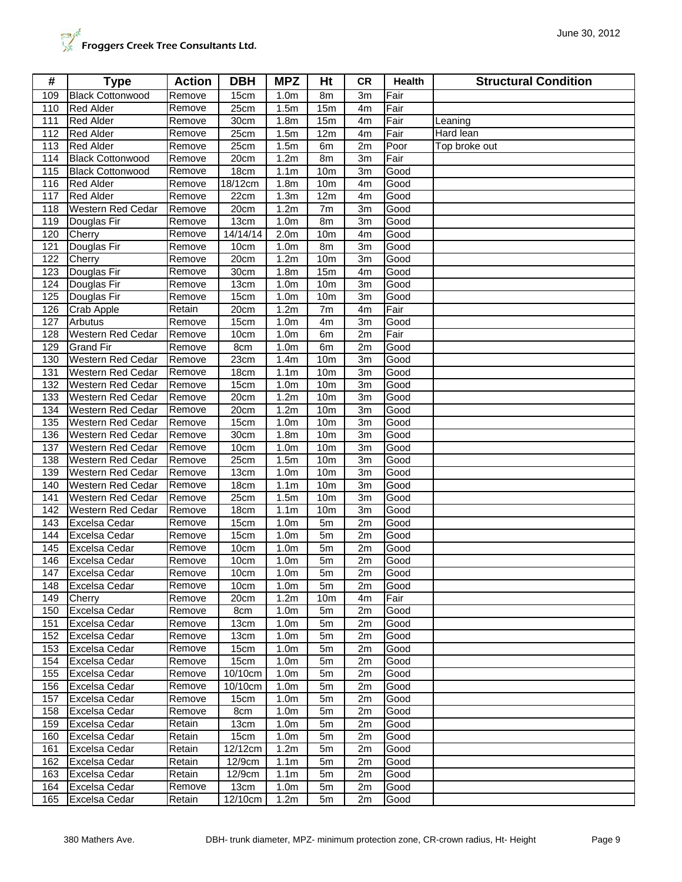| #          | <b>Type</b>                         | <b>Action</b>    | <b>DBH</b>         | <b>MPZ</b>                           | Ht              | CR.      | Health       | <b>Structural Condition</b> |
|------------|-------------------------------------|------------------|--------------------|--------------------------------------|-----------------|----------|--------------|-----------------------------|
| 109        | <b>Black Cottonwood</b>             | Remove           | 15cm               | 1.0 <sub>m</sub>                     | 8m              | 3m       | Fair         |                             |
| 110        | <b>Red Alder</b>                    | Remove           | 25cm               | 1.5m                                 | 15m             | 4m       | Fair         |                             |
| 111        | <b>Red Alder</b>                    | Remove           | 30cm               | 1.8 <sub>m</sub>                     | 15m             | 4m       | Fair         | Leaning                     |
| 112        | <b>Red Alder</b>                    | Remove           | 25cm               | 1.5m                                 | 12m             | 4m       | Fair         | Hard lean                   |
| 113        | <b>Red Alder</b>                    | Remove           | 25cm               | 1.5m                                 | 6m              | 2m       | Poor         | Top broke out               |
| 114        | <b>Black Cottonwood</b>             | Remove           | 20cm               | 1.2 <sub>m</sub>                     | 8m              | 3m       | Fair         |                             |
| 115        | <b>Black Cottonwood</b>             | Remove           | 18cm               | 1.1 <sub>m</sub>                     | 10 <sub>m</sub> | 3m       | Good         |                             |
| 116        | <b>Red Alder</b>                    | Remove           | 18/12cm            | 1.8 <sub>m</sub>                     | 10m             | 4m       | Good         |                             |
| 117        | <b>Red Alder</b>                    | Remove           | 22cm               | 1.3 <sub>m</sub>                     | 12m             | 4m       | Good         |                             |
| 118        | <b>Western Red Cedar</b>            | Remove           | 20cm               | 1.2m                                 | 7m              | 3m       | Good         |                             |
| 119        | Douglas Fir                         | Remove           | 13cm               | 1.0 <sub>m</sub>                     | 8m              | 3m       | Good         |                             |
| 120        | Cherry                              | Remove           | 14/14/14           | 2.0 <sub>m</sub>                     | 10 <sub>m</sub> | 4m       | Good         |                             |
| 121        | Douglas Fir                         | Remove           | 10cm               | 1.0 <sub>m</sub>                     | 8m              | 3m       | Good         |                             |
| 122        | Cherry                              | Remove           | 20cm               | 1.2m                                 | 10 <sub>m</sub> | 3m       | Good         |                             |
| 123        | Douglas Fir                         | Remove           | $\overline{30}$ cm | 1.8 <sub>m</sub>                     | 15m             | 4m       | Good         |                             |
| 124        | Douglas Fir                         | Remove           | 13cm               | 1.0 <sub>m</sub>                     | 10 <sub>m</sub> | 3m       | Good         |                             |
| 125        | Douglas Fir                         | Remove           | 15cm               | 1.0 <sub>m</sub>                     | 10 <sub>m</sub> | 3m       | Good         |                             |
| 126        | Crab Apple                          | Retain           | 20cm               | 1.2m                                 | 7m              | 4m       | Fair         |                             |
| 127<br>128 | Arbutus<br><b>Western Red Cedar</b> | Remove<br>Remove | 15cm               | 1.0 <sub>m</sub>                     | 4m              | 3m       | Good         |                             |
| 129        | <b>Grand Fir</b>                    | Remove           | 10cm<br>8cm        | 1.0 <sub>m</sub><br>1.0 <sub>m</sub> | 6m<br>6m        | 2m<br>2m | Fair<br>Good |                             |
| 130        | <b>Western Red Cedar</b>            | Remove           | 23cm               | 1.4m                                 | 10m             | 3m       | Good         |                             |
| 131        | Western Red Cedar                   | Remove           | 18cm               | 1.1 <sub>m</sub>                     | 10 <sub>m</sub> | 3m       | Good         |                             |
| 132        | Western Red Cedar                   | Remove           | 15cm               | 1.0 <sub>m</sub>                     | 10 <sub>m</sub> | 3m       | Good         |                             |
| 133        | <b>Western Red Cedar</b>            | Remove           | 20cm               | 1.2m                                 | 10 <sub>m</sub> | 3m       | Good         |                             |
| 134        | Western Red Cedar                   | Remove           | 20cm               | 1.2m                                 | 10m             | 3m       | Good         |                             |
| 135        | Western Red Cedar                   | Remove           | 15cm               | 1.0 <sub>m</sub>                     | 10m             | 3m       | Good         |                             |
| 136        | <b>Western Red Cedar</b>            | Remove           | 30cm               | 1.8 <sub>m</sub>                     | 10 <sub>m</sub> | 3m       | Good         |                             |
| 137        | <b>Western Red Cedar</b>            | Remove           | 10cm               | 1.0 <sub>m</sub>                     | 10 <sub>m</sub> | 3m       | Good         |                             |
| 138        | <b>Western Red Cedar</b>            | Remove           | 25cm               | 1.5m                                 | 10 <sub>m</sub> | 3m       | Good         |                             |
| 139        | Western Red Cedar                   | Remove           | 13cm               | 1.0 <sub>m</sub>                     | 10 <sub>m</sub> | 3m       | Good         |                             |
| 140        | Western Red Cedar                   | Remove           | 18cm               | 1.1 <sub>m</sub>                     | 10 <sub>m</sub> | 3m       | Good         |                             |
| 141        | <b>Western Red Cedar</b>            | Remove           | 25cm               | 1.5m                                 | 10 <sub>m</sub> | 3m       | Good         |                             |
| 142        | <b>Western Red Cedar</b>            | Remove           | 18cm               | 1.1 <sub>m</sub>                     | 10m             | 3m       | Good         |                             |
| 143        | Excelsa Cedar                       | Remove           | 15cm               | 1.0 <sub>m</sub>                     | 5m              | 2m       | Good         |                             |
| 144        | Excelsa Cedar                       | Remove           | 15cm               | 1.0 <sub>m</sub>                     | 5m              | 2m       | Good         |                             |
| 145        | <b>Excelsa Cedar</b>                | Remove           | 10cm               | 1.0 <sub>m</sub>                     | 5m              | 2m       | Good         |                             |
| 146        | Excelsa Cedar                       | Remove           | 10cm               | 1.0 <sub>m</sub>                     | 5 <sub>m</sub>  | 2m       | Good         |                             |
|            | 147 Excelsa Cedar                   | Remove           | 10cm               | 1.0 <sub>m</sub>                     | 5m              | 2m       | Good         |                             |
| 148<br>149 | <b>Excelsa Cedar</b>                | Remove           | 10cm<br>20cm       | 1.0 <sub>m</sub><br>1.2 <sub>m</sub> | 5m              | 2m       | Good         |                             |
| 150        | Cherry<br><b>Excelsa Cedar</b>      | Remove<br>Remove | 8cm                | 1.0 <sub>m</sub>                     | 10m<br>5m       | 4m<br>2m | Fair<br>Good |                             |
| 151        | <b>Excelsa Cedar</b>                | Remove           | 13cm               | 1.0 <sub>m</sub>                     | 5m              | 2m       | Good         |                             |
| 152        | <b>Excelsa Cedar</b>                | Remove           | 13cm               | 1.0 <sub>m</sub>                     | 5m              | 2m       | Good         |                             |
| 153        | <b>Excelsa Cedar</b>                | Remove           | 15cm               | 1.0 <sub>m</sub>                     | 5m              | 2m       | Good         |                             |
| 154        | Excelsa Cedar                       | Remove           | 15cm               | 1.0 <sub>m</sub>                     | 5m              | 2m       | Good         |                             |
| 155        | <b>Excelsa Cedar</b>                | Remove           | 10/10cm            | 1.0 <sub>m</sub>                     | 5m              | 2m       | Good         |                             |
| 156        | <b>Excelsa Cedar</b>                | Remove           | 10/10cm            | 1.0 <sub>m</sub>                     | 5m              | 2m       | Good         |                             |
| 157        | Excelsa Cedar                       | Remove           | 15cm               | 1.0 <sub>m</sub>                     | 5m              | 2m       | Good         |                             |
| 158        | Excelsa Cedar                       | Remove           | 8cm                | 1.0 <sub>m</sub>                     | 5m              | 2m       | Good         |                             |
| 159        | <b>Excelsa Cedar</b>                | Retain           | 13cm               | 1.0 <sub>m</sub>                     | 5m              | 2m       | Good         |                             |
| 160        | <b>Excelsa Cedar</b>                | Retain           | 15cm               | 1.0 <sub>m</sub>                     | 5m              | 2m       | Good         |                             |
| 161        | Excelsa Cedar                       | Retain           | 12/12cm            | 1.2m                                 | 5m              | 2m       | Good         |                             |
| 162        | <b>Excelsa Cedar</b>                | Retain           | 12/9cm             | 1.1 <sub>m</sub>                     | 5m              | 2m       | Good         |                             |
| 163        | Excelsa Cedar                       | Retain           | 12/9cm             | 1.1 <sub>m</sub>                     | 5m              | 2m       | Good         |                             |
| 164        | <b>Excelsa Cedar</b>                | Remove           | 13cm               | 1.0 <sub>m</sub>                     | 5m              | 2m       | Good         |                             |
| 165        | Excelsa Cedar                       | Retain           | 12/10cm            | 1.2 <sub>m</sub>                     | 5m              | 2m       | Good         |                             |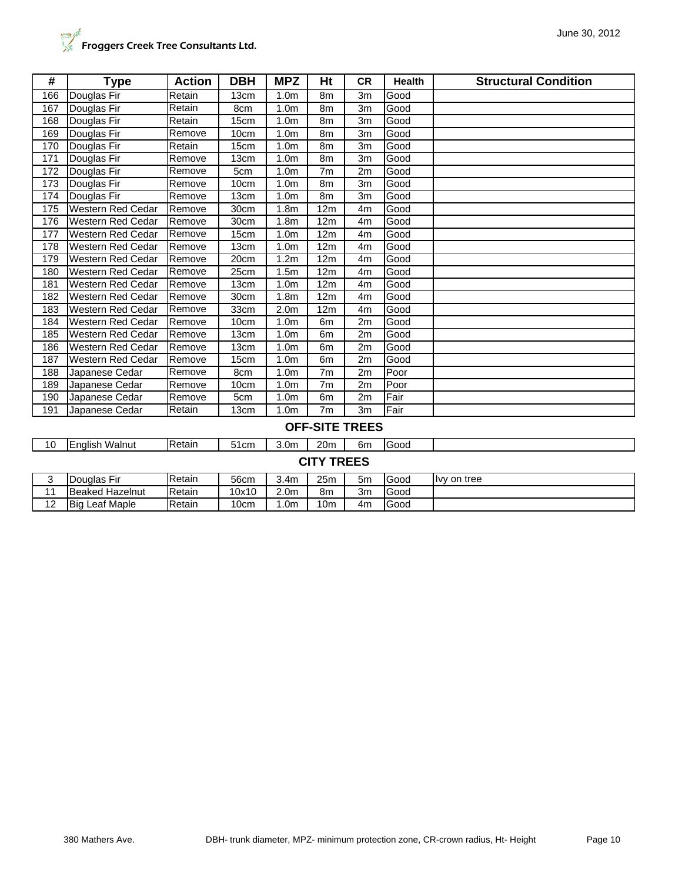| <b>Page</b><br>Froggers Creek Tree Consultants Ltd. |  |
|-----------------------------------------------------|--|

| #                     | <b>Type</b>              | <b>Action</b> | <b>DBH</b>         | <b>MPZ</b>       | Ht                | <b>CR</b>      | <b>Health</b> | <b>Structural Condition</b> |  |  |
|-----------------------|--------------------------|---------------|--------------------|------------------|-------------------|----------------|---------------|-----------------------------|--|--|
| 166                   | Douglas Fir              | Retain        | 13cm               | 1.0 <sub>m</sub> | 8m                | 3 <sub>m</sub> | Good          |                             |  |  |
| 167                   | Douglas Fir              | Retain        | 8cm                | 1.0 <sub>m</sub> | 8m                | 3m             | Good          |                             |  |  |
| 168                   | Douglas Fir              | Retain        | 15cm               | 1.0 <sub>m</sub> | 8m                | 3m             | Good          |                             |  |  |
| 169                   | Douglas Fir              | Remove        | 10cm               | 1.0 <sub>m</sub> | 8m                | 3m             | Good          |                             |  |  |
| 170                   | Douglas Fir              | Retain        | 15cm               | 1.0 <sub>m</sub> | 8m                | 3m             | Good          |                             |  |  |
| 171                   | Douglas Fir              | Remove        | 13cm               | 1.0 <sub>m</sub> | 8m                | 3m             | Good          |                             |  |  |
| 172                   | Douglas Fir              | Remove        | 5cm                | 1.0 <sub>m</sub> | 7 <sub>m</sub>    | 2m             | Good          |                             |  |  |
| 173                   | Douglas Fir              | Remove        | 10cm               | 1.0 <sub>m</sub> | 8m                | 3m             | Good          |                             |  |  |
| 174                   | Douglas Fir              | Remove        | 13cm               | 1.0 <sub>m</sub> | 8m                | 3m             | Good          |                             |  |  |
| 175                   | Western Red Cedar        | Remove        | 30cm               | 1.8 <sub>m</sub> | 12m               | 4 <sub>m</sub> | Good          |                             |  |  |
| 176                   | Western Red Cedar        | Remove        | 30cm               | 1.8 <sub>m</sub> | 12m               | 4m             | Good          |                             |  |  |
| 177                   | Western Red Cedar        | Remove        | 15cm               | 1.0 <sub>m</sub> | 12 <sub>m</sub>   | 4 <sub>m</sub> | Good          |                             |  |  |
| 178                   | Western Red Cedar        | Remove        | 13cm               | 1.0 <sub>m</sub> | 12m               | 4m             | Good          |                             |  |  |
| 179                   | Western Red Cedar        | Remove        | 20cm               | 1.2m             | 12m               | 4m             | Good          |                             |  |  |
| 180                   | <b>Western Red Cedar</b> | Remove        | 25cm               | 1.5 <sub>m</sub> | 12m               | 4m             | Good          |                             |  |  |
| 181                   | <b>Western Red Cedar</b> | Remove        | 13cm               | 1.0 <sub>m</sub> | 12m               | 4 <sub>m</sub> | Good          |                             |  |  |
| 182                   | Western Red Cedar        | Remove        | $\overline{3}0$ cm | 1.8 <sub>m</sub> | 12m               | 4m             | Good          |                             |  |  |
| 183                   | <b>Western Red Cedar</b> | Remove        | 33cm               | 2.0 <sub>m</sub> | 12 <sub>m</sub>   | 4m             | Good          |                             |  |  |
| 184                   | Western Red Cedar        | Remove        | 10cm               | 1.0 <sub>m</sub> | 6m                | 2m             | Good          |                             |  |  |
| 185                   | Western Red Cedar        | Remove        | 13cm               | 1.0 <sub>m</sub> | 6m                | 2m             | Good          |                             |  |  |
| 186                   | Western Red Cedar        | Remove        | 13cm               | 1.0 <sub>m</sub> | 6m                | 2m             | Good          |                             |  |  |
| 187                   | Western Red Cedar        | Remove        | 15cm               | 1.0 <sub>m</sub> | 6m                | 2m             | Good          |                             |  |  |
| 188                   | Japanese Cedar           | Remove        | 8cm                | 1.0 <sub>m</sub> | 7 <sub>m</sub>    | 2m             | Poor          |                             |  |  |
| 189                   | Japanese Cedar           | Remove        | 10cm               | 1.0 <sub>m</sub> | 7 <sub>m</sub>    | 2m             | Poor          |                             |  |  |
| 190                   | Japanese Cedar           | Remove        | 5cm                | 1.0 <sub>m</sub> | 6m                | 2m             | Fair          |                             |  |  |
| 191                   | Japanese Cedar           | Retain        | 13cm               | 1.0 <sub>m</sub> | 7 <sub>m</sub>    | 3m             | Fair          |                             |  |  |
| <b>OFF-SITE TREES</b> |                          |               |                    |                  |                   |                |               |                             |  |  |
| 10                    | English Walnut           | Retain        | 51cm               | 3.0 <sub>m</sub> | 20 <sub>m</sub>   | 6 <sub>m</sub> | Good          |                             |  |  |
|                       |                          |               |                    |                  | <b>CITY TREES</b> |                |               |                             |  |  |
| 3                     | Douglas Fir              | Retain        | 56cm               | 3.4 <sub>m</sub> | 25m               | 5 <sub>m</sub> | Good          | lvy on tree                 |  |  |
| 11                    | <b>Beaked Hazelnut</b>   | Retain        | 10x10              | 2.0 <sub>m</sub> | 8m                | 3m             | Good          |                             |  |  |

12 Big Leaf Maple Retain 10cm 1.0m 10m 4m Good